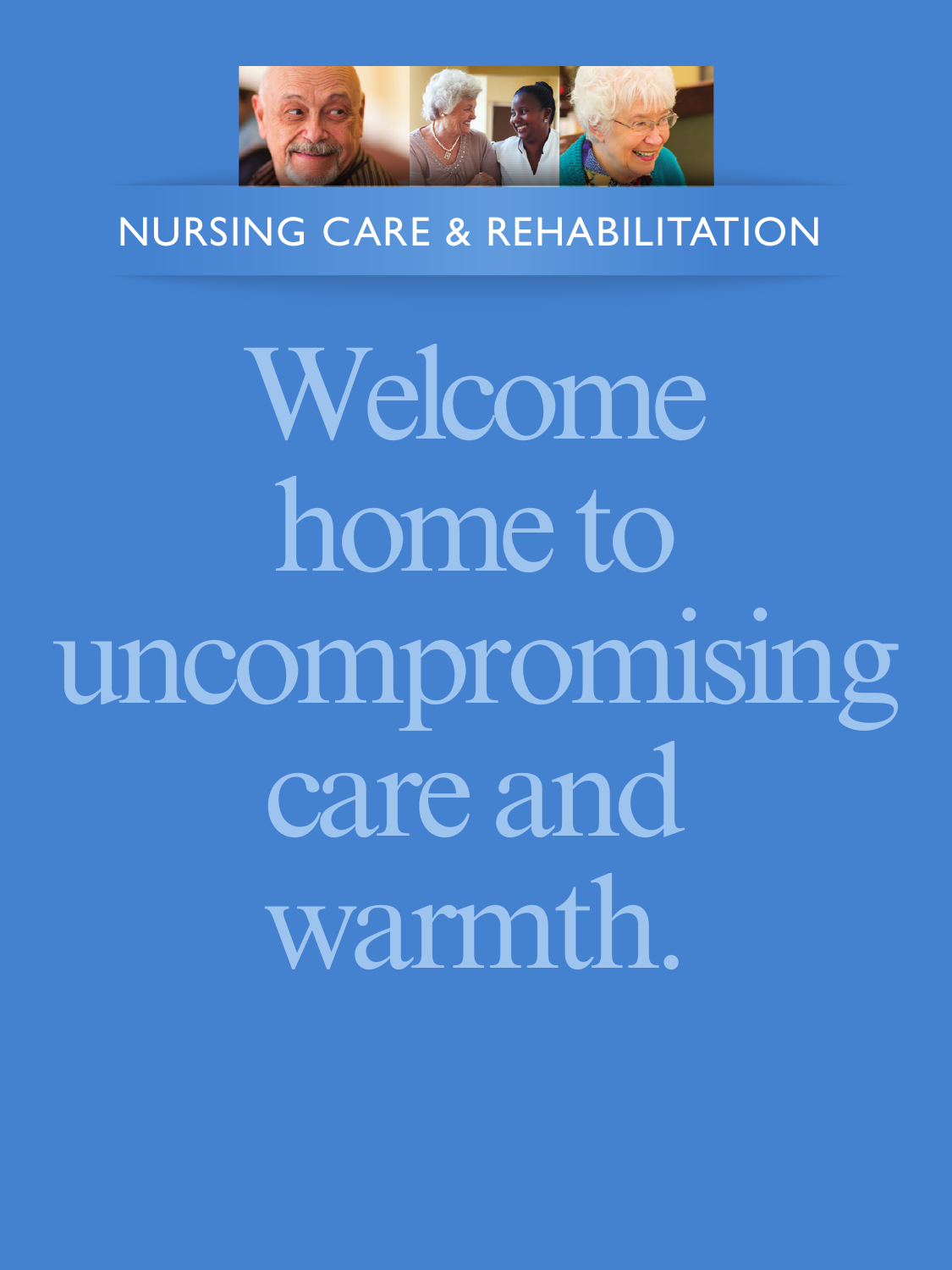

## NURSING CARE & REHABILITATION IA RII ITATI

Welcome home to uncompromising care and warmth.